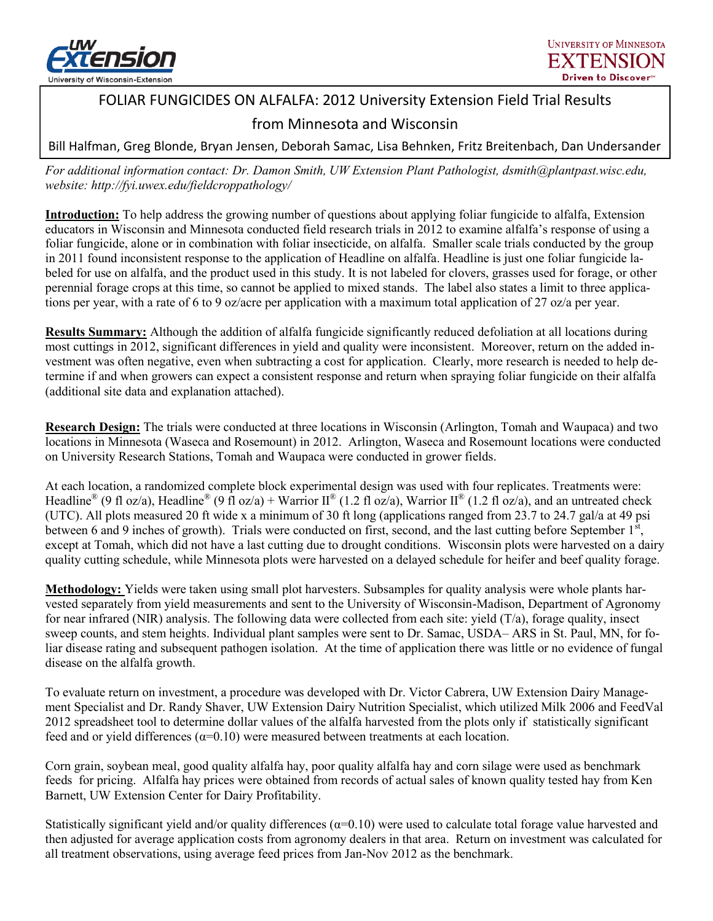

# FOLIAR FUNGICIDES ON ALFALFA: 2012 University Extension Field Trial Results

## from Minnesota and Wisconsin

Bill Halfman, Greg Blonde, Bryan Jensen, Deborah Samac, Lisa Behnken, Fritz Breitenbach, Dan Undersander

*For additional information contact: Dr. Damon Smith, UW Extension Plant Pathologist, dsmith@plantpast.wisc.edu, website: http://fyi.uwex.edu/fieldcroppathology/*

**Introduction:** To help address the growing number of questions about applying foliar fungicide to alfalfa, Extension educators in Wisconsin and Minnesota conducted field research trials in 2012 to examine alfalfa's response of using a foliar fungicide, alone or in combination with foliar insecticide, on alfalfa. Smaller scale trials conducted by the group in 2011 found inconsistent response to the application of Headline on alfalfa. Headline is just one foliar fungicide labeled for use on alfalfa, and the product used in this study. It is not labeled for clovers, grasses used for forage, or other perennial forage crops at this time, so cannot be applied to mixed stands. The label also states a limit to three applications per year, with a rate of 6 to 9 oz/acre per application with a maximum total application of 27 oz/a per year.

**Results Summary:** Although the addition of alfalfa fungicide significantly reduced defoliation at all locations during most cuttings in 2012, significant differences in yield and quality were inconsistent. Moreover, return on the added investment was often negative, even when subtracting a cost for application. Clearly, more research is needed to help determine if and when growers can expect a consistent response and return when spraying foliar fungicide on their alfalfa (additional site data and explanation attached).

**Research Design:** The trials were conducted at three locations in Wisconsin (Arlington, Tomah and Waupaca) and two locations in Minnesota (Waseca and Rosemount) in 2012. Arlington, Waseca and Rosemount locations were conducted on University Research Stations, Tomah and Waupaca were conducted in grower fields.

At each location, a randomized complete block experimental design was used with four replicates. Treatments were: Headline<sup>®</sup> (9 fl oz/a), Headline<sup>®</sup> (9 fl oz/a) + Warrior II<sup>®</sup> (1.2 fl oz/a), Warrior II<sup>®</sup> (1.2 fl oz/a), and an untreated check (UTC). All plots measured 20 ft wide x a minimum of 30 ft long (applications ranged from 23.7 to 24.7 gal/a at 49 psi between 6 and 9 inches of growth). Trials were conducted on first, second, and the last cutting before September  $1<sup>st</sup>$ , except at Tomah, which did not have a last cutting due to drought conditions. Wisconsin plots were harvested on a dairy quality cutting schedule, while Minnesota plots were harvested on a delayed schedule for heifer and beef quality forage.

**Methodology:** Yields were taken using small plot harvesters. Subsamples for quality analysis were whole plants harvested separately from yield measurements and sent to the University of Wisconsin-Madison, Department of Agronomy for near infrared (NIR) analysis. The following data were collected from each site: yield (T/a), forage quality, insect sweep counts, and stem heights. Individual plant samples were sent to Dr. Samac, USDA– ARS in St. Paul, MN, for foliar disease rating and subsequent pathogen isolation. At the time of application there was little or no evidence of fungal disease on the alfalfa growth.

To evaluate return on investment, a procedure was developed with Dr. Victor Cabrera, UW Extension Dairy Management Specialist and Dr. Randy Shaver, UW Extension Dairy Nutrition Specialist, which utilized Milk 2006 and FeedVal 2012 spreadsheet tool to determine dollar values of the alfalfa harvested from the plots only if statistically significant feed and or yield differences  $(\alpha=0.10)$  were measured between treatments at each location.

Corn grain, soybean meal, good quality alfalfa hay, poor quality alfalfa hay and corn silage were used as benchmark feeds for pricing. Alfalfa hay prices were obtained from records of actual sales of known quality tested hay from Ken Barnett, UW Extension Center for Dairy Profitability.

Statistically significant yield and/or quality differences  $(\alpha=0.10)$  were used to calculate total forage value harvested and then adjusted for average application costs from agronomy dealers in that area. Return on investment was calculated for all treatment observations, using average feed prices from Jan-Nov 2012 as the benchmark.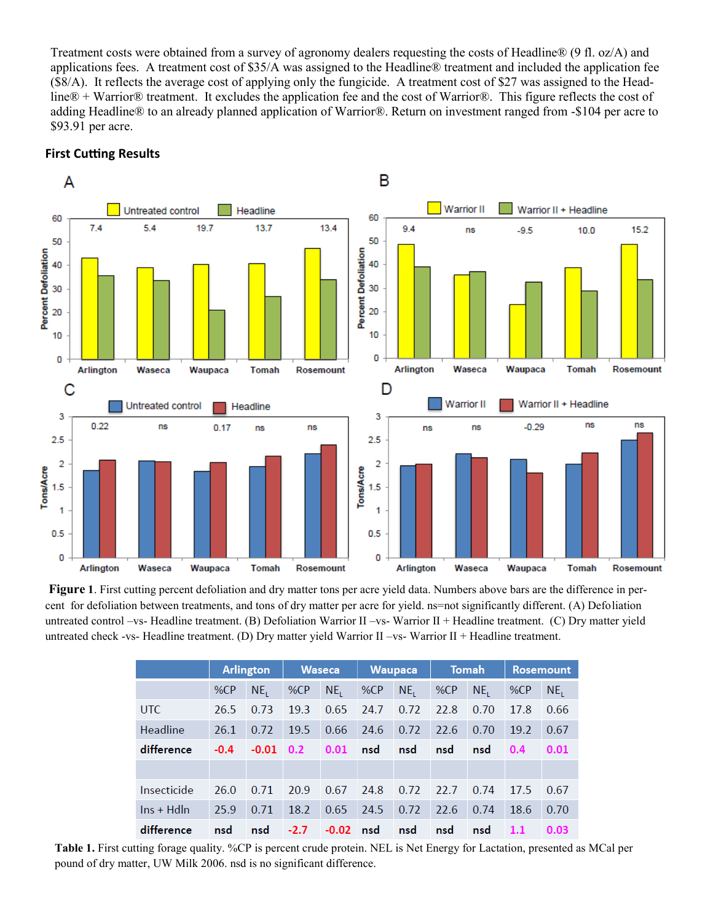Treatment costs were obtained from a survey of agronomy dealers requesting the costs of Headline® (9 fl. oz/A) and applications fees. A treatment cost of \$35/A was assigned to the Headline® treatment and included the application fee (\$8/A). It reflects the average cost of applying only the fungicide. A treatment cost of \$27 was assigned to the Headline® + Warrior® treatment. It excludes the application fee and the cost of Warrior®. This figure reflects the cost of adding Headline® to an already planned application of Warrior®. Return on investment ranged from -\$104 per acre to \$93.91 per acre.



#### **First Cutting Results**

**Figure** 1. First cutting percent defoliation and dry matter tons per acre yield data. Numbers above bars are the difference in percent for defoliation between treatments, and tons of dry matter per acre for yield. ns=not significantly different. (A) Defoliation untreated control –vs- Headline treatment. (B) Defoliation Warrior II –vs- Warrior II + Headline treatment. (C) Dry matter yield untreated check -vs- Headline treatment. (D) Dry matter yield Warrior II –vs- Warrior II + Headline treatment.

|                    | <b>Arlington</b> |                 | <b>Waseca</b> |                 | <b>Waupaca</b> |                 | Tomah |                 | <b>Rosemount</b> |                 |
|--------------------|------------------|-----------------|---------------|-----------------|----------------|-----------------|-------|-----------------|------------------|-----------------|
|                    | %CP              | NE <sub>1</sub> | %CP           | NE <sub>1</sub> | %CP            | NE <sub>1</sub> | %CP   | NE <sub>1</sub> | %CP              | NE <sub>1</sub> |
| UTC                | 26.5             | 0.73            | 19.3          | 0.65            | 24.7           | 0.72            | 22.8  | 0.70            | 17.8             | 0.66            |
| Headline           | 26.1             | 0.72            | 19.5          | 0.66            | 24.6           | 0.72            | 22.6  | 0.70            | 19.2             | 0.67            |
| difference         | $-0.4$           | $-0.01$ 0.2     |               | 0.01            | nsd            | nsd             | nsd   | nsd             | 0.4              | 0.01            |
|                    |                  |                 |               |                 |                |                 |       |                 |                  |                 |
| Insecticide        | 26.0             | 0.71            | 20.9          | 0.67            | 24.8           | 0.72            | 22.7  | 0.74            | 17.5             | 0.67            |
| $\ln s$ + Hd $\ln$ | 25.9             | 0.71            | 18.2          | 0.65            | 24.5           | 0.72            | 22.6  | 0.74            | 18.6             | 0.70            |
| difference         | nsd              | nsd             | $-2.7$        | $-0.02$ nsd     |                | nsd             | nsd   | nsd             | 1.1              | 0.03            |

**Table 1.** First cutting forage quality. %CP is percent crude protein. NEL is Net Energy for Lactation, presented as MCal per pound of dry matter, UW Milk 2006. nsd is no significant difference.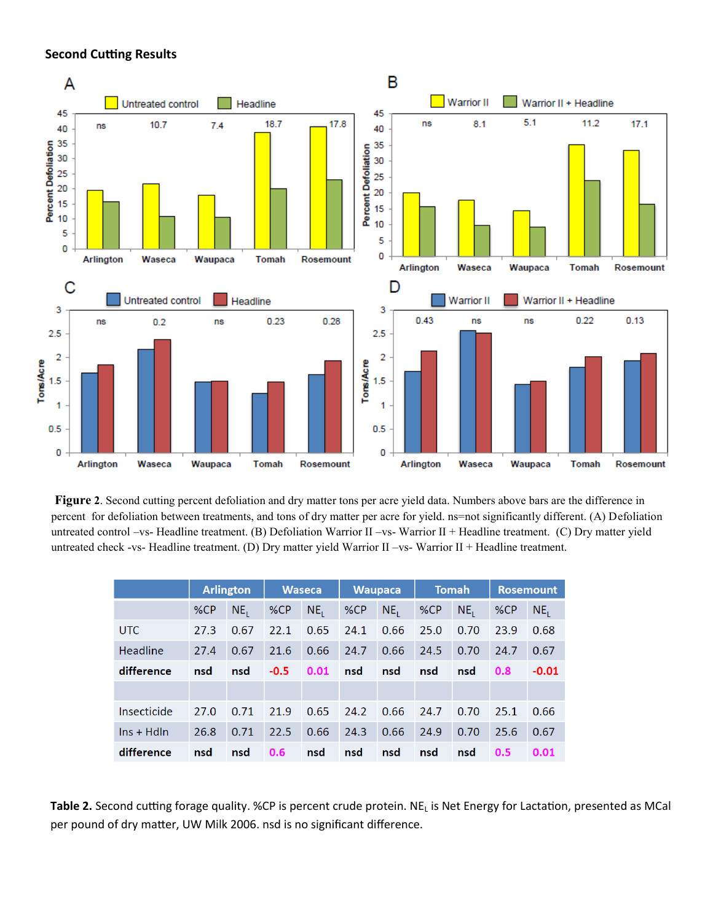#### **Second Cutting Results**



**Figure 2**. Second cutting percent defoliation and dry matter tons per acre yield data. Numbers above bars are the difference in percent for defoliation between treatments, and tons of dry matter per acre for yield. ns=not significantly different. (A) Defoliation untreated control –vs- Headline treatment. (B) Defoliation Warrior II –vs- Warrior II + Headline treatment. (C) Dry matter yield untreated check -vs- Headline treatment. (D) Dry matter yield Warrior II –vs- Warrior II + Headline treatment.

|                    |      | <b>Arlington</b> |        | <b>Waseca</b>   |      | <b>Waupaca</b>  | <b>Tomah</b> |                 | <b>Rosemount</b> |                 |
|--------------------|------|------------------|--------|-----------------|------|-----------------|--------------|-----------------|------------------|-----------------|
|                    | %CP  | NE <sub>1</sub>  | %CP    | NE <sub>1</sub> | %CP  | NE <sub>1</sub> | %CP          | NE <sub>1</sub> | %CP              | NE <sub>1</sub> |
| <b>UTC</b>         | 27.3 | 0.67             | 22.1   | 0.65            | 24.1 | 0.66            | 25.0         | 0.70            | 23.9             | 0.68            |
| Headline           | 27.4 | 0.67             | 21.6   | 0.66            | 24.7 | 0.66            | 24.5         | 0.70            | 24.7             | 0.67            |
| difference         | nsd  | nsd              | $-0.5$ | 0.01            | nsd  | nsd             | nsd          | nsd             | 0.8              | $-0.01$         |
|                    |      |                  |        |                 |      |                 |              |                 |                  |                 |
| Insecticide        | 27.0 | 0.71             | 21.9   | 0.65            | 24.2 | 0.66            | 24.7         | 0.70            | 25.1             | 0.66            |
| $\ln s$ + Hd $\ln$ | 26.8 | 0.71             | 22.5   | 0.66            | 24.3 | 0.66            | 24.9         | 0.70            | 25.6             | 0.67            |
| difference         | nsd  | nsd              | 0.6    | nsd             | nsd  | nsd             | nsd          | nsd             | 0.5              | 0.01            |

Table 2. Second cutting forage quality. %CP is percent crude protein. NE<sub>L</sub> is Net Energy for Lactation, presented as MCal per pound of dry matter, UW Milk 2006. nsd is no significant difference.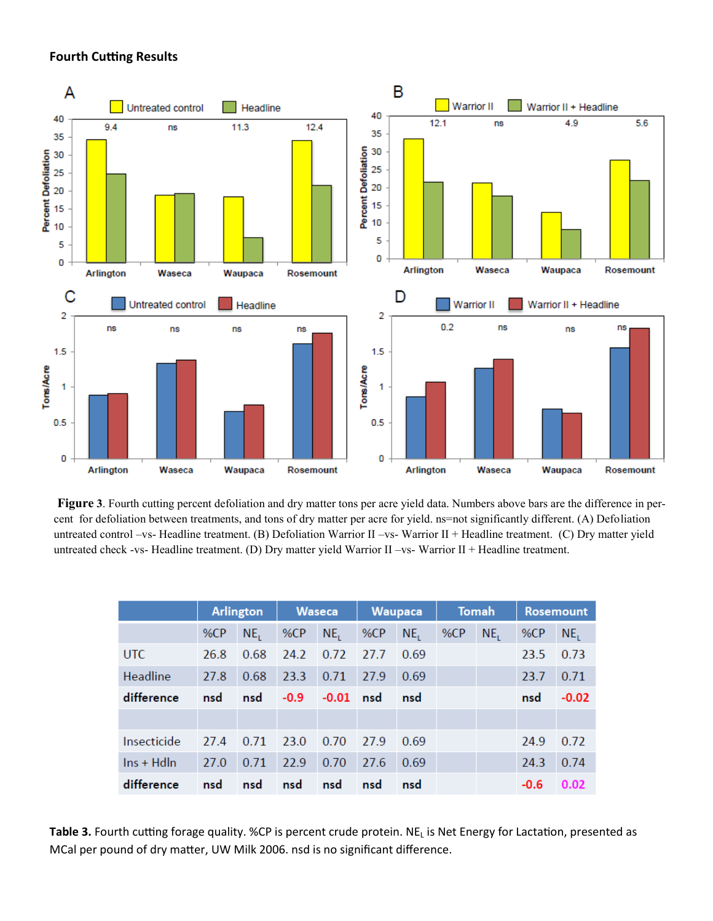### **Fourth Cutting Results**



**Figure 3**. Fourth cutting percent defoliation and dry matter tons per acre yield data. Numbers above bars are the difference in percent for defoliation between treatments, and tons of dry matter per acre for yield. ns=not significantly different. (A) Defoliation untreated control –vs- Headline treatment. (B) Defoliation Warrior II –vs- Warrior II + Headline treatment. (C) Dry matter yield untreated check -vs- Headline treatment. (D) Dry matter yield Warrior II –vs- Warrior II + Headline treatment.

|                    |      | <b>Arlington</b> |        | <b>Waseca</b>   |      | <b>Waupaca</b>  |     | <b>Tomah</b>    |        | <b>Rosemount</b> |  |
|--------------------|------|------------------|--------|-----------------|------|-----------------|-----|-----------------|--------|------------------|--|
|                    | %CP  | NE <sub>1</sub>  | %CP    | NE <sub>1</sub> | %CP  | NE <sub>1</sub> | %CP | NE <sub>1</sub> | %CP    | NE <sub>1</sub>  |  |
| <b>UTC</b>         | 26.8 | 0.68             | 24.2   | 0.72            | 27.7 | 0.69            |     |                 | 23.5   | 0.73             |  |
| Headline           | 27.8 | 0.68             | 23.3   | 0.71            | 27.9 | 0.69            |     |                 | 23.7   | 0.71             |  |
| difference         | nsd  | nsd              | $-0.9$ | $-0.01$         | nsd  | nsd             |     |                 | nsd    | $-0.02$          |  |
|                    |      |                  |        |                 |      |                 |     |                 |        |                  |  |
| Insecticide        | 27.4 | 0.71             | 23.0   | 0.70            | 27.9 | 0.69            |     |                 | 24.9   | 0.72             |  |
| $\ln s$ + Hd $\ln$ | 27.0 | 0.71             | 22.9   | 0.70            | 27.6 | 0.69            |     |                 | 24.3   | 0.74             |  |
| difference         | nsd  | nsd              | nsd    | nsd             | nsd  | nsd             |     |                 | $-0.6$ | 0.02             |  |

**Table 3.** Fourth cutting forage quality. %CP is percent crude protein. NE<sub>L</sub> is Net Energy for Lactation, presented as MCal per pound of dry matter, UW Milk 2006. nsd is no significant difference.